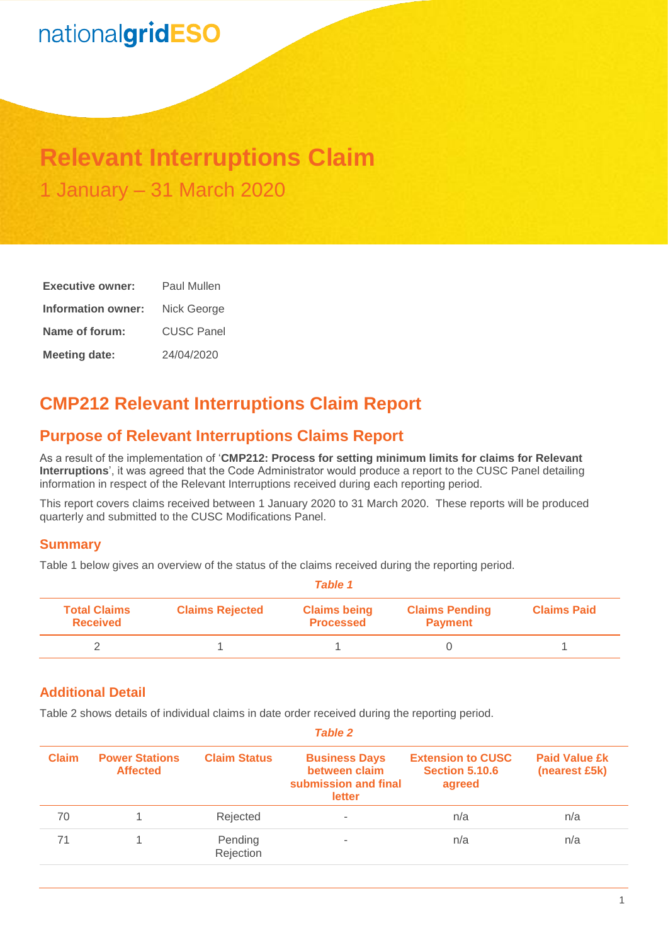# nationalgridESO

## **Relevant Interruptions Claim** 1 January – 31 March 2020

| <b>Executive owner:</b> | Paul Mullen       |  |  |
|-------------------------|-------------------|--|--|
| Information owner:      | Nick George       |  |  |
| Name of forum:          | <b>CUSC Panel</b> |  |  |
| <b>Meeting date:</b>    | 24/04/2020        |  |  |

## **CMP212 Relevant Interruptions Claim Report**

## **Purpose of Relevant Interruptions Claims Report**

As a result of the implementation of '**CMP212: Process for setting minimum limits for claims for Relevant Interruptions**', it was agreed that the Code Administrator would produce a report to the CUSC Panel detailing information in respect of the Relevant Interruptions received during each reporting period.

This report covers claims received between 1 January 2020 to 31 March 2020. These reports will be produced quarterly and submitted to the CUSC Modifications Panel.

#### **Summary**

Table 1 below gives an overview of the status of the claims received during the reporting period.

| <b>Table 1</b>                         |                        |                                         |                                         |                    |  |
|----------------------------------------|------------------------|-----------------------------------------|-----------------------------------------|--------------------|--|
| <b>Total Claims</b><br><b>Received</b> | <b>Claims Rejected</b> | <b>Claims being</b><br><b>Processed</b> | <b>Claims Pending</b><br><b>Payment</b> | <b>Claims Paid</b> |  |
|                                        |                        |                                         |                                         |                    |  |

### **Additional Detail**

Table 2 shows details of individual claims in date order received during the reporting period.

| Table Z      |                                          |                      |                                                                         |                                                             |                                       |
|--------------|------------------------------------------|----------------------|-------------------------------------------------------------------------|-------------------------------------------------------------|---------------------------------------|
| <b>Claim</b> | <b>Power Stations</b><br><b>Affected</b> | <b>Claim Status</b>  | <b>Business Days</b><br>between claim<br>submission and final<br>letter | <b>Extension to CUSC</b><br><b>Section 5.10.6</b><br>agreed | <b>Paid Value £k</b><br>(nearest £5k) |
| 70           |                                          | Rejected             | $\overline{\phantom{a}}$                                                | n/a                                                         | n/a                                   |
| 71           |                                          | Pending<br>Rejection |                                                                         | n/a                                                         | n/a                                   |

*Table 2*